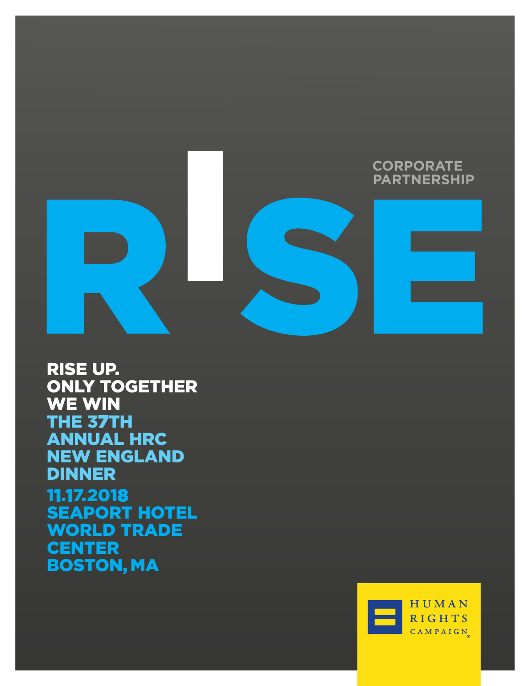

**RISE UP. ONLY TOGETHER WE WIN** THE 37TH **ANNUAL HRC<br>NEW ENGLAND DINNER** 11.17.2018 **SEAPORT HOTEL WORLD TRADE CENTER BOSTON, MA** 

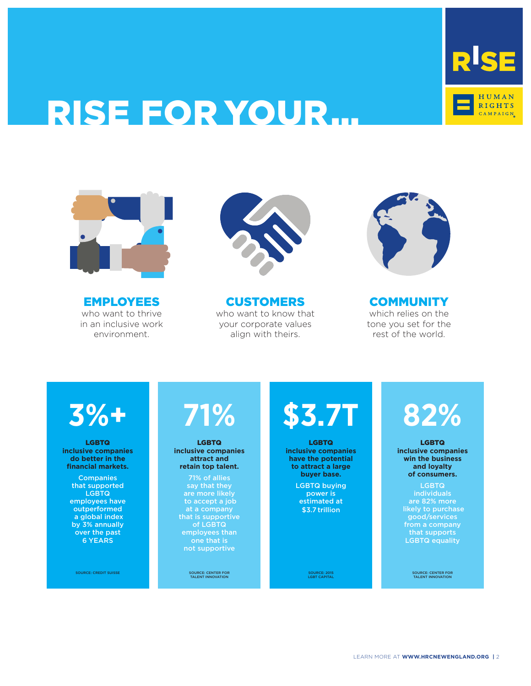

# RISE FOR YOUR…



EMPLOYEES who want to thrive in an inclusive work environment.



CUSTOMERS who want to know that your corporate values align with theirs.



**COMMUNITY** which relies on the tone you set for the rest of the world.

# **3%+**

LGBTQ **inclusive companies do better in the financial markets.** 

> **Companies** that supported LGBTQ employees have outperformed a global index by 3% annually over the past 6 YEARS

> > SOURCE: CREDIT SUISSE

# **71%**

LGBTQ **inclusive companies attract and retain top talent.** 

71% of allies say that they are more likely to accept a job at a company that is supportive of LGBTQ employees than one that is not supportive

SOURCE: CENTER FOR TALENT INNOVATION

# **\$3.7T**

LGBTQ **inclusive companies have the potential to attract a large buyer base.** 

> LGBTQ buying power is estimated at \$3.7 trillion

> > SOURCE: 2015 LGBT CAPITAL

# **82%**

LGBTQ **inclusive companies win the business and loyalty of consumers.**

LGBTQ individuals are 82% more likely to purchase good/services from a company that supports LGBTQ equality

SOURCE: CENTER FOR TALENT INNOVATION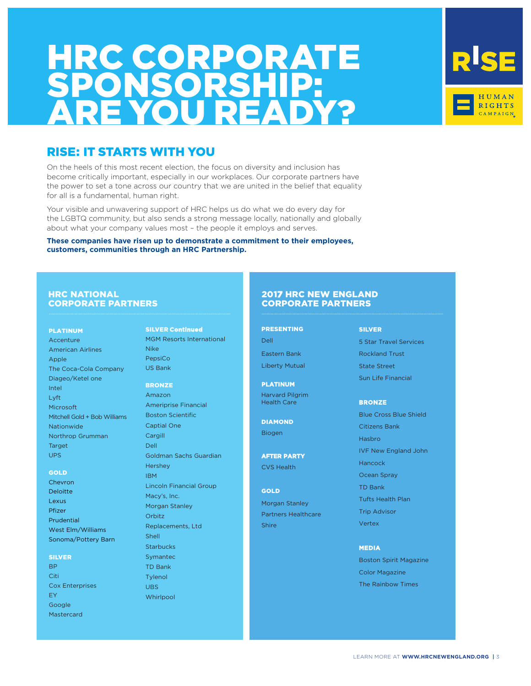# HRC CORPORAT SPONSORSHII ARE YOU READY? ARE YOU READY? HRC CORPORATE SPONSORSHIP:



On the heels of this most recent election, the focus on diversity and inclusion has become critically important, especially in our workplaces. Our corporate partners have the power to set a tone across our country that we are united in the belief that equality for all is a fundamental, human right.

Your visible and unwavering support of HRC helps us do what we do every day for the LGBTQ community, but also sends a strong message locally, nationally and globally about what your company values most – the people it employs and serves.

**These companies have risen up to demonstrate a commitment to their employees, customers, communities through an HRC Partnership.**

## HRC NATIONAL CORPORATE PARTNERS

#### PLATINUM

Accenture American Airlines Apple The Coca-Cola Company Diageo/Ketel one Intel Lyft Microsoft Mitchell Gold + Bob Williams Nationwide Northrop Grumman Target UPS

#### GOLD

Chevron Deloitte Lexus Pfizer **Prudential** West Elm/Williams Sonoma/Pottery Barn

#### SILVER

**RP** Citi Cox Enterprises EY Google Mastercard

SILVER **Continued** MGM Resorts International Nike PepsiCo US Bank

### **BRONZE**

Amazon Ameriprise Financial Boston Scientific Captial One **Cargill** Dell Goldman Sachs Guardian Hershey IBM Lincoln Financial Group Macy's, Inc. Morgan Stanley Orbitz Replacements, Ltd Shell **Starbucks** Symantec TD Bank Tylenol UBS Whirlpool

### 2017 HRC NEW ENGLAND CORPORATE PARTNERS

### PRESENTING

Dell Eastern Bank Liberty Mutual

### **PLATINUM** Harvard Pilgrim Health Care

DIAMOND Biogen

**AFTER PARTY** CVS Health

#### **GOLD**

Morgan Stanley Partners Healthcare Shire

### SILVER

5 Star Travel Services Rockland Trust State Street Sun Life Financial

### **BRONZE**

Blue Cross Blue Shield Citizens Bank Hasbro IVF New England John Hancock Ocean Spray TD Bank Tufts Health Plan Trip Advisor Vertex

### **MEDIA**

Boston Spirit Magazine Color Magazine The Rainbow Times

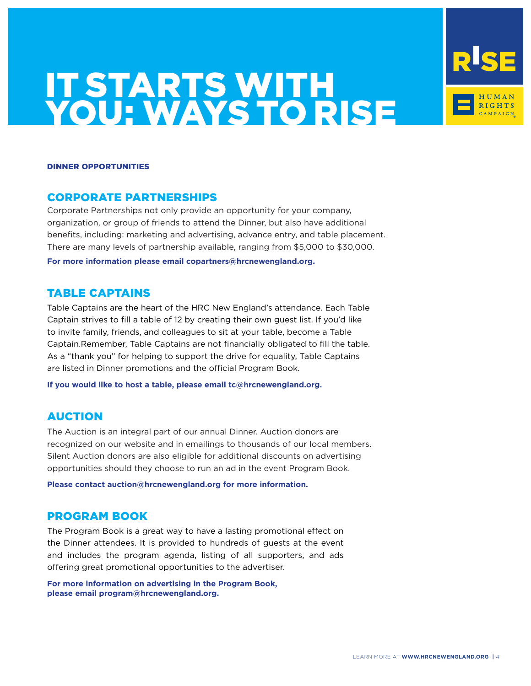

### DINNER OPPORTUNITIES

# CORPORATE PARTNERSHIPS

Corporate Partnerships not only provide an opportunity for your company, organization, or group of friends to attend the Dinner, but also have additional benefits, including: marketing and advertising, advance entry, and table placement. There are many levels of partnership available, ranging from \$5,000 to \$30,000. **For more information please email copartners@hrcnewengland.org.**

# TABLE CAPTAINS

Table Captains are the heart of the HRC New England's attendance. Each Table Captain strives to fill a table of 12 by creating their own guest list. If you'd like to invite family, friends, and colleagues to sit at your table, become a Table Captain.Remember, Table Captains are not financially obligated to fill the table. As a "thank you" for helping to support the drive for equality, Table Captains are listed in Dinner promotions and the official Program Book.

**If you would like to host a table, please email tc@hrcnewengland.org.** 

# AUCTION

The Auction is an integral part of our annual Dinner. Auction donors are recognized on our website and in emailings to thousands of our local members. Silent Auction donors are also eligible for additional discounts on advertising opportunities should they choose to run an ad in the event Program Book.

**Please contact auction@hrcnewengland.org for more information.** 

# PROGRAM BOOK

The Program Book is a great way to have a lasting promotional effect on the Dinner attendees. It is provided to hundreds of guests at the event and includes the program agenda, listing of all supporters, and ads offering great promotional opportunities to the advertiser.

**For more information on advertising in the Program Book, please email program@hrcnewengland.org.**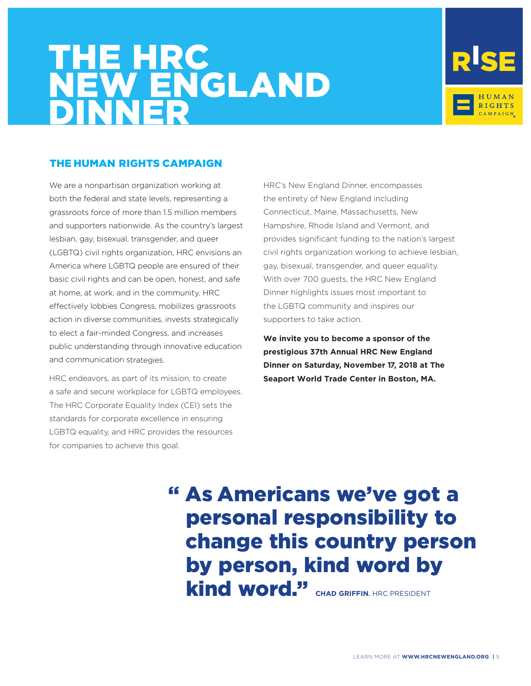# THE HRC NEW ENGLAND DINNER



# THE HUMAN RIGHTS CAMPAIGN

We are a nonpartisan organization working at both the federal and state levels, representing a grassroots force of more than 1.5 million members and supporters nationwide. As the country's largest lesbian, gay, bisexual, transgender, and queer (LGBTQ) civil rights organization, HRC envisions an America where LGBTQ people are ensured of their basic civil rights and can be open, honest, and safe at home, at work, and in the community. HRC effectively lobbies Congress, mobilizes grassroots action in diverse communities, invests strategically to elect a fair-minded Congress, and increases public understanding through innovative education and communication strategies.

HRC endeavors, as part of its mission, to create a safe and secure workplace for LGBTQ employees. The HRC Corporate Equality Index (CEI) sets the standards for corporate excellence in ensuring LGBTQ equality, and HRC provides the resources for companies to achieve this goal.

HRC's New England Dinner, encompasses the entirety of New England including Connecticut, Maine, Massachusetts, New Hampshire, Rhode Island and Vermont, and provides significant funding to the nation's largest civil rights organization working to achieve lesbian, gay, bisexual, transgender, and queer equality. With over 700 guests, the HRC New England Dinner highlights issues most important to the LGBTQ community and inspires our supporters to take action.

**We invite you to become a sponsor of the prestigious 37th Annual HRC New England Dinner on Saturday, November 17, 2018 at The Seaport World Trade Center in Boston, MA.**

# " As Americans we've got a personal responsibility to change this country person by person, kind word by **kind word."** CHAD GRIFFIN. HRC PRESIDENT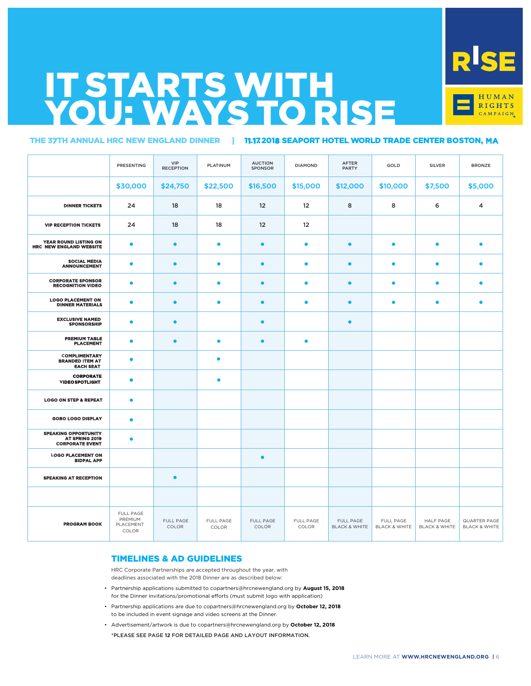

### THE 37TH ANNUAL HRC NEW ENGLAND DINNER | 11.17.2018 SEAPORT HOTEL WORLD TRADE CENTER BOSTON, **MA**

|                                                                         | PRESENTING                                 | VIP<br><b>RECEPTION</b> | PLATINUM           | <b>AUCTION</b><br><b>SPONSOR</b> | <b>DIAMOND</b>     | AFTER<br><b>PARTY</b>                 | GOLD                                  | <b>SILVER</b>                         | <b>BRONZE</b>                            |
|-------------------------------------------------------------------------|--------------------------------------------|-------------------------|--------------------|----------------------------------|--------------------|---------------------------------------|---------------------------------------|---------------------------------------|------------------------------------------|
|                                                                         | \$30,000                                   | \$24,750                | \$22,500           | \$16,500                         | \$15,000           | \$12,000                              | \$10,000                              | \$7,500                               | \$5,000                                  |
| <b>DINNER TICKETS</b>                                                   | 24                                         | 18                      | 18                 | 12                               | 12                 | 8                                     | 8                                     | 6                                     | 4                                        |
| <b>VIP RECEPTION TICKETS</b>                                            | 24                                         | 18                      | 18                 | 12                               | 12                 |                                       |                                       |                                       |                                          |
| YEAR ROUND LISTING ON<br><b>HRC NEW ENGLAND WEBSITE</b>                 | $\bullet$                                  | $\bullet$               | $\bullet$          | $\bullet$                        | $\bullet$          | $\bullet$                             | $\bullet$                             | $\bullet$                             | $\bullet$                                |
| <b>SOCIAL MEDIA</b><br><b>ANNOUNCEMENT</b>                              | $\bullet$                                  | $\bullet$               | $\bullet$          | $\bullet$                        | $\bullet$          | $\bullet$                             | $\bullet$                             | $\bullet$                             | $\bullet$                                |
| <b>CORPORATE SPONSOR</b><br><b>RECOGNITION VIDEO</b>                    | $\bullet$                                  | $\bullet$               | $\bullet$          | $\bullet$                        | $\bullet$          | $\bullet$                             | $\bullet$                             | $\bullet$                             | $\bullet$                                |
| <b>LOGO PLACEMENT ON</b><br><b>DINNER MATERIALS</b>                     | $\bullet$                                  | $\bullet$               | $\bullet$          | $\bullet$                        | $\bullet$          | $\bullet$                             | $\bullet$                             | $\bullet$                             | $\bullet$                                |
| <b>EXCLUSIVE NAMED</b><br><b>SPONSORSHIP</b>                            | $\bullet$                                  | $\bullet$               |                    | $\bullet$                        |                    | $\bullet$                             |                                       |                                       |                                          |
| <b>PREMIUM TABLE</b><br><b>PLACEMENT</b>                                | $\bullet$                                  | $\bullet$               | $\bullet$          | $\bullet$                        | $\bullet$          |                                       |                                       |                                       |                                          |
| <b>COMPLIMENTARY</b><br><b>BRANDED ITEM AT</b><br><b>EACH SEAT</b>      | $\bullet$                                  |                         | $\bullet$          |                                  |                    |                                       |                                       |                                       |                                          |
| <b>CORPORATE</b><br><b>VIDEOSPOTLIGHT</b>                               | $\bullet$                                  |                         | $\bullet$          |                                  |                    |                                       |                                       |                                       |                                          |
| <b>LOGO ON STEP &amp; REPEAT</b>                                        | $\bullet$                                  |                         |                    |                                  |                    |                                       |                                       |                                       |                                          |
| <b>GOBO LOGO DISPLAY</b>                                                | $\bullet$                                  |                         |                    |                                  |                    |                                       |                                       |                                       |                                          |
| <b>SPEAKING OPPORTUNITY</b><br>AT SPRING 2019<br><b>CORPORATE EVENT</b> | $\bullet$                                  |                         |                    |                                  |                    |                                       |                                       |                                       |                                          |
| <b>LOGO PLACEMENT ON</b><br><b>BIDPAL APP</b>                           |                                            |                         |                    | $\bullet$                        |                    |                                       |                                       |                                       |                                          |
| <b>SPEAKING AT RECEPTION</b>                                            |                                            | $\bullet$               |                    |                                  |                    |                                       |                                       |                                       |                                          |
|                                                                         |                                            |                         |                    |                                  |                    |                                       |                                       |                                       |                                          |
| <b>PROGRAM BOOK</b>                                                     | FULL PAGE<br>PREMIUM<br>PLACEMENT<br>COLOR | FULL PAGE<br>COLOR      | FULL PAGE<br>COLOR | FULL PAGE<br>COLOR               | FULL PAGE<br>COLOR | FULL PAGE<br><b>BLACK &amp; WHITE</b> | FULL PAGE<br><b>BLACK &amp; WHITE</b> | HALF PAGE<br><b>BLACK &amp; WHITE</b> | QUARTER PAGE<br><b>BLACK &amp; WHITE</b> |

## TIMELINES & AD GUIDELINES

HRC Corporate Partnerships are accepted throughout the year, with deadlines associated with the 2018 Dinner are as described below:

- Partnership applications submitted to copartners@hrcnewengland.org by **August 15, 2018** for the Dinner invitations/promotional efforts (must submit logo with application)
- Partnership applications are due to copartners@hrcnewengland.org by **October 12, 2018** to be included in event signage and video screens at the Dinner.
- Advertisement/artwork is due to copartners@hrcnewengland.org by **October 12, 2018** \*PLEASE SEE PAGE **12** FOR DETAILED PAGE AND LAYOUT INFORMATION.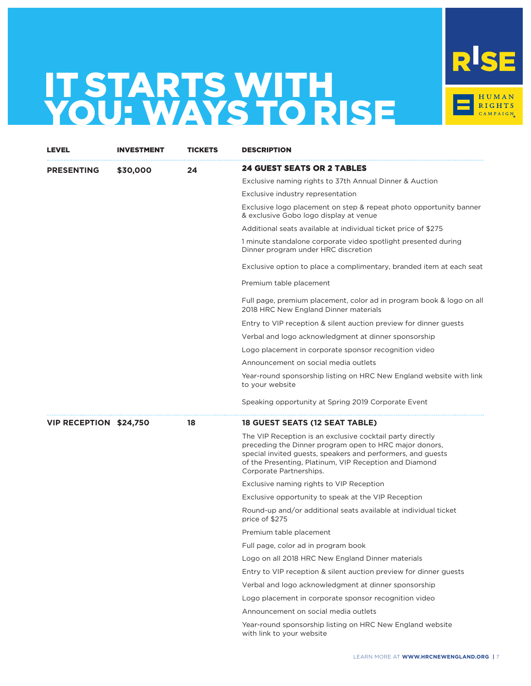

| LEVEL                  | <b>INVESTMENT</b> | TICKETS | DESCRIPTION                                                                                                                                                                                                                                                             |
|------------------------|-------------------|---------|-------------------------------------------------------------------------------------------------------------------------------------------------------------------------------------------------------------------------------------------------------------------------|
| <b>PRESENTING</b>      | \$30,000          | 24      | 24 GUEST SEATS OR 2 TABLES                                                                                                                                                                                                                                              |
|                        |                   |         | Exclusive naming rights to 37th Annual Dinner & Auction                                                                                                                                                                                                                 |
|                        |                   |         | Exclusive industry representation                                                                                                                                                                                                                                       |
|                        |                   |         | Exclusive logo placement on step & repeat photo opportunity banner<br>& exclusive Gobo logo display at venue                                                                                                                                                            |
|                        |                   |         | Additional seats available at individual ticket price of \$275                                                                                                                                                                                                          |
|                        |                   |         | 1 minute standalone corporate video spotlight presented during<br>Dinner program under HRC discretion                                                                                                                                                                   |
|                        |                   |         | Exclusive option to place a complimentary, branded item at each seat                                                                                                                                                                                                    |
|                        |                   |         | Premium table placement                                                                                                                                                                                                                                                 |
|                        |                   |         | Full page, premium placement, color ad in program book & logo on all<br>2018 HRC New England Dinner materials                                                                                                                                                           |
|                        |                   |         | Entry to VIP reception & silent auction preview for dinner quests                                                                                                                                                                                                       |
|                        |                   |         | Verbal and logo acknowledgment at dinner sponsorship                                                                                                                                                                                                                    |
|                        |                   |         | Logo placement in corporate sponsor recognition video                                                                                                                                                                                                                   |
|                        |                   |         | Announcement on social media outlets                                                                                                                                                                                                                                    |
|                        |                   |         | Year-round sponsorship listing on HRC New England website with link<br>to your website                                                                                                                                                                                  |
|                        |                   |         | Speaking opportunity at Spring 2019 Corporate Event                                                                                                                                                                                                                     |
| VIP RECEPTION \$24,750 |                   | 18      | 18 GUEST SEATS (12 SEAT TABLE)                                                                                                                                                                                                                                          |
|                        |                   |         | The VIP Reception is an exclusive cocktail party directly<br>preceding the Dinner program open to HRC major donors,<br>special invited guests, speakers and performers, and guests<br>of the Presenting, Platinum, VIP Reception and Diamond<br>Corporate Partnerships. |
|                        |                   |         | Exclusive naming rights to VIP Reception                                                                                                                                                                                                                                |
|                        |                   |         | Exclusive opportunity to speak at the VIP Reception                                                                                                                                                                                                                     |
|                        |                   |         | Round-up and/or additional seats available at individual ticket<br>price of \$275                                                                                                                                                                                       |
|                        |                   |         | Premium table placement                                                                                                                                                                                                                                                 |
|                        |                   |         | Full page, color ad in program book                                                                                                                                                                                                                                     |
|                        |                   |         | Logo on all 2018 HRC New England Dinner materials                                                                                                                                                                                                                       |
|                        |                   |         | Entry to VIP reception & silent auction preview for dinner guests                                                                                                                                                                                                       |
|                        |                   |         | Verbal and logo acknowledgment at dinner sponsorship                                                                                                                                                                                                                    |
|                        |                   |         | Logo placement in corporate sponsor recognition video                                                                                                                                                                                                                   |
|                        |                   |         | Announcement on social media outlets                                                                                                                                                                                                                                    |
|                        |                   |         | Year-round sponsorship listing on HRC New England website<br>with link to your website                                                                                                                                                                                  |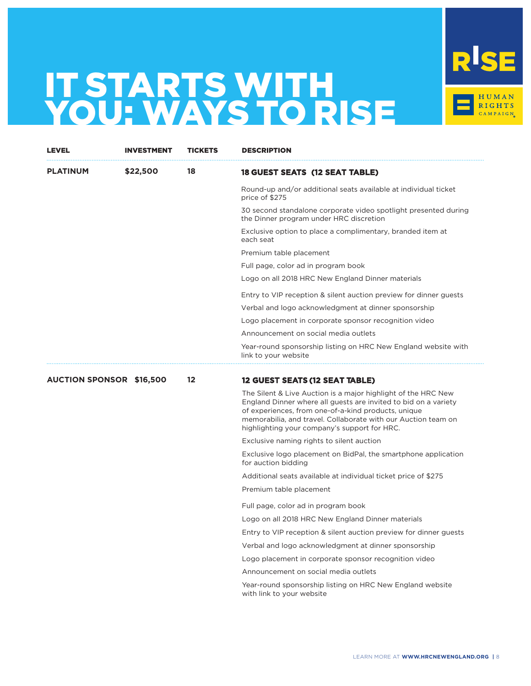

| <b>LEVEL</b>                    | <b>INVESTMENT</b> | TICKETS | <b>DESCRIPTION</b>                                                                                                                                                                                                                                                                                       |
|---------------------------------|-------------------|---------|----------------------------------------------------------------------------------------------------------------------------------------------------------------------------------------------------------------------------------------------------------------------------------------------------------|
| <b>PLATINUM</b>                 | \$22,500          | 18      | 18 GUEST SEATS (12 SEAT TABLE)                                                                                                                                                                                                                                                                           |
|                                 |                   |         | Round-up and/or additional seats available at individual ticket<br>price of \$275                                                                                                                                                                                                                        |
|                                 |                   |         | 30 second standalone corporate video spotlight presented during<br>the Dinner program under HRC discretion                                                                                                                                                                                               |
|                                 |                   |         | Exclusive option to place a complimentary, branded item at<br>each seat                                                                                                                                                                                                                                  |
|                                 |                   |         | Premium table placement                                                                                                                                                                                                                                                                                  |
|                                 |                   |         | Full page, color ad in program book                                                                                                                                                                                                                                                                      |
|                                 |                   |         | Logo on all 2018 HRC New England Dinner materials                                                                                                                                                                                                                                                        |
|                                 |                   |         | Entry to VIP reception & silent auction preview for dinner guests                                                                                                                                                                                                                                        |
|                                 |                   |         | Verbal and logo acknowledgment at dinner sponsorship                                                                                                                                                                                                                                                     |
|                                 |                   |         | Logo placement in corporate sponsor recognition video                                                                                                                                                                                                                                                    |
|                                 |                   |         | Announcement on social media outlets                                                                                                                                                                                                                                                                     |
|                                 |                   |         | Year-round sponsorship listing on HRC New England website with<br>link to your website                                                                                                                                                                                                                   |
| <b>AUCTION SPONSOR \$16,500</b> |                   | $12 \,$ | 12 GUEST SEATS (12 SEAT TABLE)                                                                                                                                                                                                                                                                           |
|                                 |                   |         | The Silent & Live Auction is a major highlight of the HRC New<br>England Dinner where all guests are invited to bid on a variety<br>of experiences, from one-of-a-kind products, unique<br>memorabilia, and travel. Collaborate with our Auction team on<br>highlighting your company's support for HRC. |
|                                 |                   |         | Exclusive naming rights to silent auction                                                                                                                                                                                                                                                                |
|                                 |                   |         | Exclusive logo placement on BidPal, the smartphone application<br>for auction bidding                                                                                                                                                                                                                    |
|                                 |                   |         | Additional seats available at individual ticket price of \$275                                                                                                                                                                                                                                           |
|                                 |                   |         | Premium table placement                                                                                                                                                                                                                                                                                  |
|                                 |                   |         | Full page, color ad in program book                                                                                                                                                                                                                                                                      |
|                                 |                   |         | Logo on all 2018 HRC New England Dinner materials                                                                                                                                                                                                                                                        |
|                                 |                   |         | Entry to VIP reception & silent auction preview for dinner guests                                                                                                                                                                                                                                        |
|                                 |                   |         | Verbal and logo acknowledgment at dinner sponsorship                                                                                                                                                                                                                                                     |
|                                 |                   |         | Logo placement in corporate sponsor recognition video                                                                                                                                                                                                                                                    |
|                                 |                   |         | Announcement on social media outlets                                                                                                                                                                                                                                                                     |
|                                 |                   |         | Year-round sponsorship listing on HRC New England website                                                                                                                                                                                                                                                |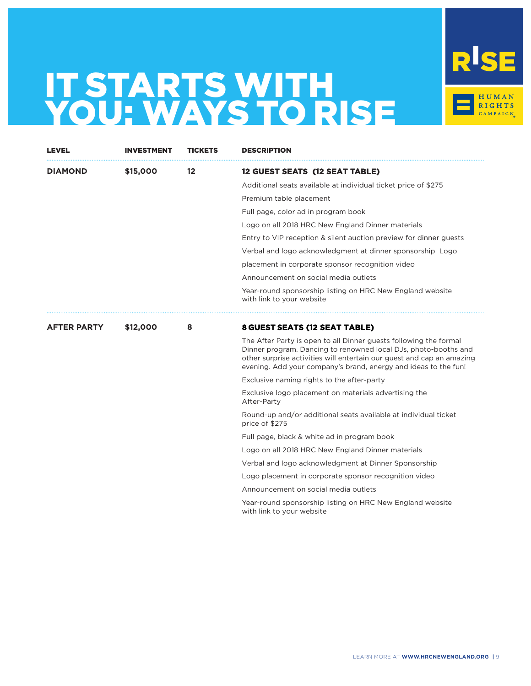

| LEVEL              | <b>INVESTMENT</b> | TICKETS | <b>DESCRIPTION</b>                                                                                                                                                                                                                                                               |
|--------------------|-------------------|---------|----------------------------------------------------------------------------------------------------------------------------------------------------------------------------------------------------------------------------------------------------------------------------------|
| <b>DIAMOND</b>     | \$15,000          | 12      | 12 GUEST SEATS (12 SEAT TABLE)                                                                                                                                                                                                                                                   |
|                    |                   |         | Additional seats available at individual ticket price of \$275                                                                                                                                                                                                                   |
|                    |                   |         | Premium table placement                                                                                                                                                                                                                                                          |
|                    |                   |         | Full page, color ad in program book                                                                                                                                                                                                                                              |
|                    |                   |         | Logo on all 2018 HRC New England Dinner materials                                                                                                                                                                                                                                |
|                    |                   |         | Entry to VIP reception & silent auction preview for dinner guests                                                                                                                                                                                                                |
|                    |                   |         | Verbal and logo acknowledgment at dinner sponsorship Logo                                                                                                                                                                                                                        |
|                    |                   |         | placement in corporate sponsor recognition video                                                                                                                                                                                                                                 |
|                    |                   |         | Announcement on social media outlets                                                                                                                                                                                                                                             |
|                    |                   |         | Year-round sponsorship listing on HRC New England website<br>with link to your website                                                                                                                                                                                           |
| <b>AFTER PARTY</b> | \$12,000          | 8       | <b>8 GUEST SEATS (12 SEAT TABLE)</b>                                                                                                                                                                                                                                             |
|                    |                   |         | The After Party is open to all Dinner guests following the formal<br>Dinner program. Dancing to renowned local DJs, photo-booths and<br>other surprise activities will entertain our guest and cap an amazing<br>evening. Add your company's brand, energy and ideas to the fun! |
|                    |                   |         | Exclusive naming rights to the after-party                                                                                                                                                                                                                                       |
|                    |                   |         | Exclusive logo placement on materials advertising the<br>After-Party                                                                                                                                                                                                             |
|                    |                   |         | Round-up and/or additional seats available at individual ticket<br>price of \$275                                                                                                                                                                                                |
|                    |                   |         | Full page, black & white ad in program book                                                                                                                                                                                                                                      |
|                    |                   |         | Logo on all 2018 HRC New England Dinner materials                                                                                                                                                                                                                                |
|                    |                   |         | Verbal and logo acknowledgment at Dinner Sponsorship                                                                                                                                                                                                                             |
|                    |                   |         | Logo placement in corporate sponsor recognition video                                                                                                                                                                                                                            |
|                    |                   |         | Announcement on social media outlets                                                                                                                                                                                                                                             |
|                    |                   |         | Year-round sponsorship listing on HRC New England website<br>with link to your website                                                                                                                                                                                           |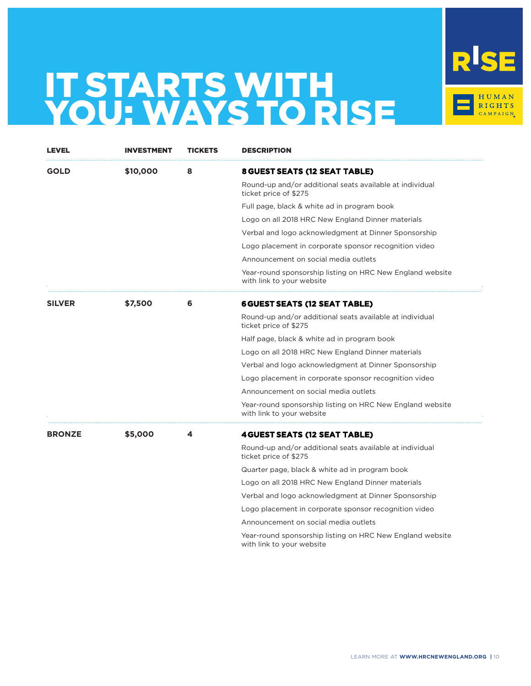

| LEVEL         | INVESTMENT | TICKETS | <b>DESCRIPTION</b>                                                                     |
|---------------|------------|---------|----------------------------------------------------------------------------------------|
| GOLD          | \$10,000   | 8       | 8 GUEST SEATS (12 SEAT TABLE)                                                          |
|               |            |         | Round-up and/or additional seats available at individual<br>ticket price of \$275      |
|               |            |         | Full page, black & white ad in program book                                            |
|               |            |         | Logo on all 2018 HRC New England Dinner materials                                      |
|               |            |         | Verbal and logo acknowledgment at Dinner Sponsorship                                   |
|               |            |         | Logo placement in corporate sponsor recognition video                                  |
|               |            |         | Announcement on social media outlets                                                   |
|               |            |         | Year-round sponsorship listing on HRC New England website<br>with link to your website |
| <b>SILVER</b> | \$7,500    | 6       | <b>6 GUEST SEATS (12 SEAT TABLE)</b>                                                   |
|               |            |         | Round-up and/or additional seats available at individual<br>ticket price of \$275      |
|               |            |         | Half page, black & white ad in program book                                            |
|               |            |         | Logo on all 2018 HRC New England Dinner materials                                      |
|               |            |         | Verbal and logo acknowledgment at Dinner Sponsorship                                   |
|               |            |         | Logo placement in corporate sponsor recognition video                                  |
|               |            |         | Announcement on social media outlets                                                   |
|               |            |         | Year-round sponsorship listing on HRC New England website<br>with link to your website |
| <b>BRONZE</b> | \$5,000    | 4       | <b>4 GUEST SEATS (12 SEAT TABLE)</b>                                                   |
|               |            |         | Round-up and/or additional seats available at individual<br>ticket price of \$275      |
|               |            |         | Quarter page, black & white ad in program book                                         |
|               |            |         | Logo on all 2018 HRC New England Dinner materials                                      |
|               |            |         | Verbal and logo acknowledgment at Dinner Sponsorship                                   |
|               |            |         | Logo placement in corporate sponsor recognition video                                  |
|               |            |         | Announcement on social media outlets                                                   |
|               |            |         | Year-round sponsorship listing on HRC New England website<br>with link to your website |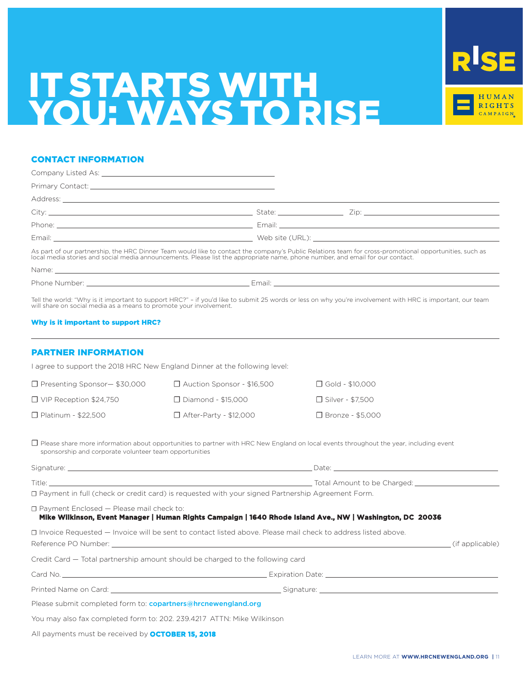

## CONTACT INFORMATION

As part of our partnership, the HRC Dinner Team would like to contact the company's Public Relations team for cross-promotional opportunities, such as local media stories and social media announcements. Please list the appropriate name, phone number, and email for our contact.

Name:

Phone Number: Email:

Tell the world: "Why is it important to support HRC?" – if you'd like to submit 25 words or less on why you're involvement with HRC is important, our team will share on social media as a means to promote your involvement.

### Why is it important to support HRC?

## PARTNER INFORMATION

I agree to support the 2018 HRC New England Dinner at the following level:

| $\Box$ Presenting Sponsor $-$ \$30,000 | $\Box$ Auction Sponsor - \$16,500 | $\Box$ Gold - \$10.000  |
|----------------------------------------|-----------------------------------|-------------------------|
| $\Box$ VIP Reception \$24,750          | $\Box$ Diamond - \$15.000         | $\Box$ Silver - \$7.500 |
| $\Box$ Platinum - \$22,500             | $\Box$ After-Party - \$12,000     | □ Bronze - \$5,000      |

□ Please share more information about opportunities to partner with HRC New England on local events throughout the year, including event sponsorship and corporate volunteer team opportunities

| Signature: | Date:                       |
|------------|-----------------------------|
| Title:     | Total Amount to be Charged: |

☐ Payment in full (check or credit card) is requested with your signed Partnership Agreement Form.

☐ Payment Enclosed — Please mail check to:

### **Mike Wilkinson, Event Manager | Human Rights Campaign | 1640 Rhode Island Ave., NW | Washington, DC 20036**

| □ Invoice Requested – Invoice will be sent to contact listed above. Please mail check to address listed above. |
|----------------------------------------------------------------------------------------------------------------|
|                                                                                                                |
|                                                                                                                |
|                                                                                                                |
|                                                                                                                |
|                                                                                                                |
|                                                                                                                |

All payments must be received by **OCTOBER 15, 2018**